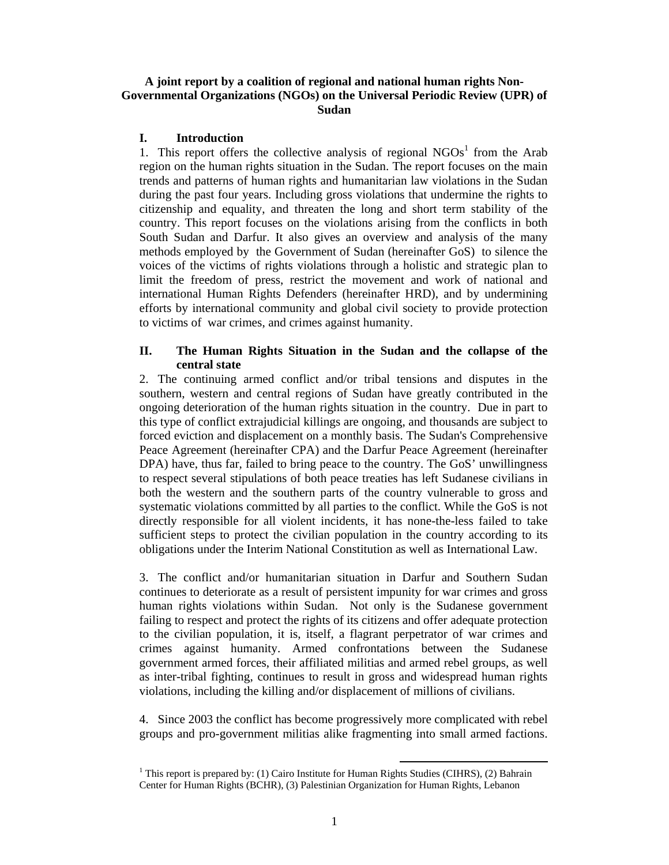# **A joint report by a coalition of regional and national human rights Non-Governmental Organizations (NGOs) on the Universal Periodic Review (UPR) of Sudan**

#### **I. Introduction**

1. This report offers the collective analysis of regional  $NGOs<sup>1</sup>$  from the Arab region on the human rights situation in the Sudan. The report focuses on the main trends and patterns of human rights and humanitarian law violations in the Sudan during the past four years. Including gross violations that undermine the rights to citizenship and equality, and threaten the long and short term stability of the country. This report focuses on the violations arising from the conflicts in both South Sudan and Darfur. It also gives an overview and analysis of the many methods employed by the Government of Sudan (hereinafter GoS) to silence the voices of the victims of rights violations through a holistic and strategic plan to limit the freedom of press, restrict the movement and work of national and international Human Rights Defenders (hereinafter HRD), and by undermining efforts by international community and global civil society to provide protection to victims of war crimes, and crimes against humanity.

## **II. The Human Rights Situation in the Sudan and the collapse of the central state**

2. The continuing armed conflict and/or tribal tensions and disputes in the southern, western and central regions of Sudan have greatly contributed in the ongoing deterioration of the human rights situation in the country. Due in part to this type of conflict extrajudicial killings are ongoing, and thousands are subject to forced eviction and displacement on a monthly basis. The Sudan's Comprehensive Peace Agreement (hereinafter CPA) and the Darfur Peace Agreement (hereinafter DPA) have, thus far, failed to bring peace to the country. The GoS' unwillingness to respect several stipulations of both peace treaties has left Sudanese civilians in both the western and the southern parts of the country vulnerable to gross and systematic violations committed by all parties to the conflict. While the GoS is not directly responsible for all violent incidents, it has none-the-less failed to take sufficient steps to protect the civilian population in the country according to its obligations under the Interim National Constitution as well as International Law.

3. The conflict and/or humanitarian situation in Darfur and Southern Sudan continues to deteriorate as a result of persistent impunity for war crimes and gross human rights violations within Sudan. Not only is the Sudanese government failing to respect and protect the rights of its citizens and offer adequate protection to the civilian population, it is, itself, a flagrant perpetrator of war crimes and crimes against humanity. Armed confrontations between the Sudanese government armed forces, their affiliated militias and armed rebel groups, as well as inter-tribal fighting, continues to result in gross and widespread human rights violations, including the killing and/or displacement of millions of civilians.

4. Since 2003 the conflict has become progressively more complicated with rebel groups and pro-government militias alike fragmenting into small armed factions.

<sup>&</sup>lt;sup>1</sup> This report is prepared by: (1) Cairo Institute for Human Rights Studies (CIHRS), (2) Bahrain Center for Human Rights (BCHR), (3) Palestinian Organization for Human Rights, Lebanon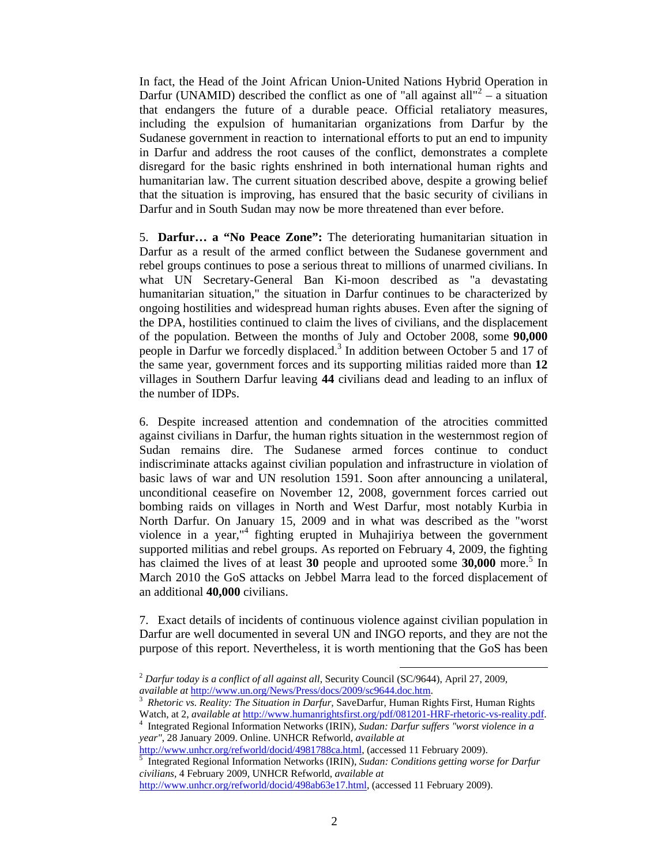In fact, the Head of the Joint African Union-United Nations Hybrid Operation in Darfur (UNAMID) described the conflict as one of "all against all"<sup>2</sup> – a situation that endangers the future of a durable peace. Official retaliatory measures, including the expulsion of humanitarian organizations from Darfur by the Sudanese government in reaction to international efforts to put an end to impunity in Darfur and address the root causes of the conflict, demonstrates a complete disregard for the basic rights enshrined in both international human rights and humanitarian law. The current situation described above, despite a growing belief that the situation is improving, has ensured that the basic security of civilians in Darfur and in South Sudan may now be more threatened than ever before.

5. **Darfur… a "No Peace Zone":** The deteriorating humanitarian situation in Darfur as a result of the armed conflict between the Sudanese government and rebel groups continues to pose a serious threat to millions of unarmed civilians. In what UN Secretary-General Ban Ki-moon described as "a devastating humanitarian situation," the situation in Darfur continues to be characterized by ongoing hostilities and widespread human rights abuses. Even after the signing of the DPA, hostilities continued to claim the lives of civilians, and the displacement of the population. Between the months of July and October 2008, some **90,000** people in Darfur we forcedly displaced.<sup>3</sup> In addition between October 5 and 17 of the same year, government forces and its supporting militias raided more than **12** villages in Southern Darfur leaving **44** civilians dead and leading to an influx of the number of IDPs.

6. Despite increased attention and condemnation of the atrocities committed against civilians in Darfur, the human rights situation in the westernmost region of Sudan remains dire. The Sudanese armed forces continue to conduct indiscriminate attacks against civilian population and infrastructure in violation of basic laws of war and UN resolution 1591. Soon after announcing a unilateral, unconditional ceasefire on November 12, 2008, government forces carried out bombing raids on villages in North and West Darfur, most notably Kurbia in North Darfur. On January 15, 2009 and in what was described as the "worst violence in a year,"<sup>4</sup> fighting erupted in Muhajiriya between the government supported militias and rebel groups. As reported on February 4, 2009, the fighting has claimed the lives of at least 30 people and uprooted some 30,000 more.<sup>5</sup> In March 2010 the GoS attacks on Jebbel Marra lead to the forced displacement of an additional **40,000** civilians.

7. Exact details of incidents of continuous violence against civilian population in Darfur are well documented in several UN and INGO reports, and they are not the purpose of this report. Nevertheless, it is worth mentioning that the GoS has been

 <sup>2</sup> *Darfur today is a conflict of all against all*, Security Council (SC/9644), April 27, 2009, *available at* http://www.un.org/News/Press/docs/2009/sc9644.doc.htm. 3

*Rhetoric vs. Reality: The Situation in Darfur,* SaveDarfur, Human Rights First, Human Rights Watch, at 2, *available at* http://www.humanrightsfirst.org/pdf/081201-HRF-rhetoric-vs-reality.pdf.

<sup>&</sup>lt;sup>4</sup> Integrated Regional Information Networks (IRIN), *Sudan: Darfur suffers "worst violence in a year"*, 28 January 2009. Online. UNHCR Refworld, *available at*

http://www.unhcr.org/refworld/docid/4981788ca.html, (accessed 11 February 2009). 5 Integrated Regional Information Networks (IRIN), *Sudan: Conditions getting worse for Darfur* 

*civilians*, 4 February 2009, UNHCR Refworld, *available at*

http://www.unhcr.org/refworld/docid/498ab63e17.html, (accessed 11 February 2009).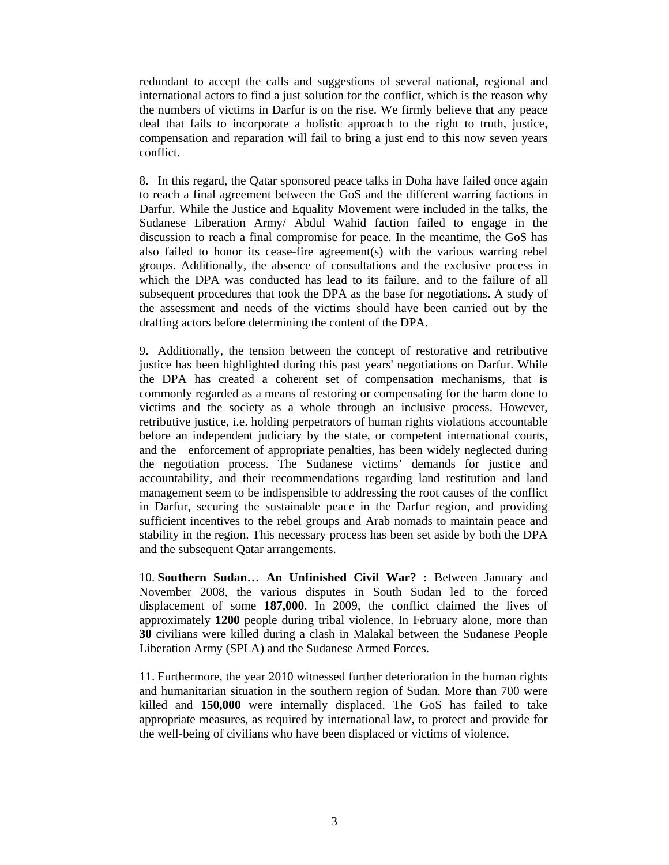redundant to accept the calls and suggestions of several national, regional and international actors to find a just solution for the conflict, which is the reason why the numbers of victims in Darfur is on the rise. We firmly believe that any peace deal that fails to incorporate a holistic approach to the right to truth, justice, compensation and reparation will fail to bring a just end to this now seven years conflict.

8. In this regard, the Qatar sponsored peace talks in Doha have failed once again to reach a final agreement between the GoS and the different warring factions in Darfur. While the Justice and Equality Movement were included in the talks, the Sudanese Liberation Army/ Abdul Wahid faction failed to engage in the discussion to reach a final compromise for peace. In the meantime, the GoS has also failed to honor its cease-fire agreement(s) with the various warring rebel groups. Additionally, the absence of consultations and the exclusive process in which the DPA was conducted has lead to its failure, and to the failure of all subsequent procedures that took the DPA as the base for negotiations. A study of the assessment and needs of the victims should have been carried out by the drafting actors before determining the content of the DPA.

9. Additionally, the tension between the concept of restorative and retributive justice has been highlighted during this past years' negotiations on Darfur. While the DPA has created a coherent set of compensation mechanisms, that is commonly regarded as a means of restoring or compensating for the harm done to victims and the society as a whole through an inclusive process. However, retributive justice, i.e. holding perpetrators of human rights violations accountable before an independent judiciary by the state, or competent international courts, and the enforcement of appropriate penalties, has been widely neglected during the negotiation process. The Sudanese victims' demands for justice and accountability, and their recommendations regarding land restitution and land management seem to be indispensible to addressing the root causes of the conflict in Darfur, securing the sustainable peace in the Darfur region, and providing sufficient incentives to the rebel groups and Arab nomads to maintain peace and stability in the region. This necessary process has been set aside by both the DPA and the subsequent Qatar arrangements.

10. **Southern Sudan… An Unfinished Civil War? :** Between January and November 2008, the various disputes in South Sudan led to the forced displacement of some **187,000**. In 2009, the conflict claimed the lives of approximately **1200** people during tribal violence. In February alone, more than **30** civilians were killed during a clash in Malakal between the Sudanese People Liberation Army (SPLA) and the Sudanese Armed Forces.

11. Furthermore, the year 2010 witnessed further deterioration in the human rights and humanitarian situation in the southern region of Sudan. More than 700 were killed and **150,000** were internally displaced. The GoS has failed to take appropriate measures, as required by international law, to protect and provide for the well-being of civilians who have been displaced or victims of violence.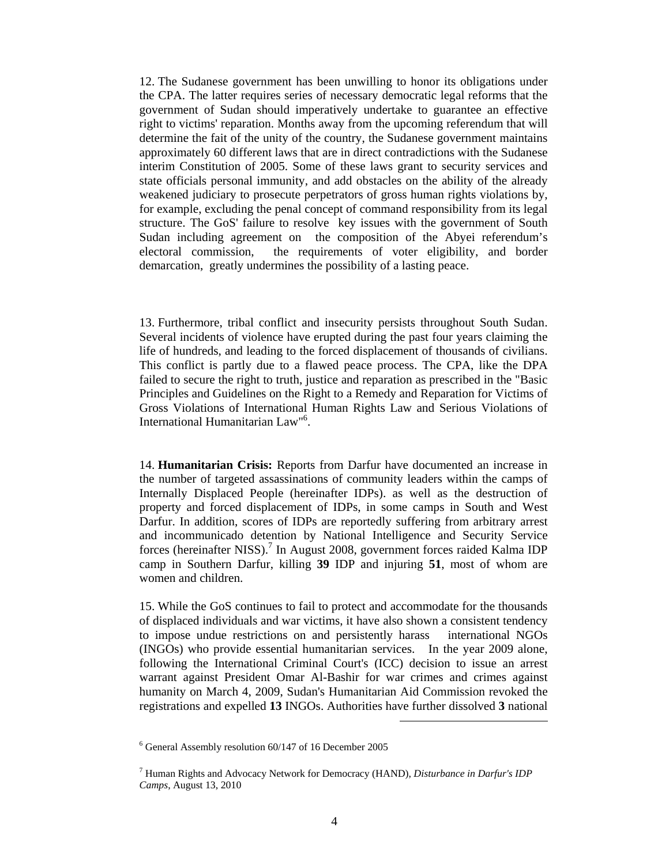12. The Sudanese government has been unwilling to honor its obligations under the CPA. The latter requires series of necessary democratic legal reforms that the government of Sudan should imperatively undertake to guarantee an effective right to victims' reparation. Months away from the upcoming referendum that will determine the fait of the unity of the country, the Sudanese government maintains approximately 60 different laws that are in direct contradictions with the Sudanese interim Constitution of 2005. Some of these laws grant to security services and state officials personal immunity, and add obstacles on the ability of the already weakened judiciary to prosecute perpetrators of gross human rights violations by, for example, excluding the penal concept of command responsibility from its legal structure. The GoS' failure to resolve key issues with the government of South Sudan including agreement on the composition of the Abyei referendum's electoral commission, the requirements of voter eligibility, and border demarcation, greatly undermines the possibility of a lasting peace.

13. Furthermore, tribal conflict and insecurity persists throughout South Sudan. Several incidents of violence have erupted during the past four years claiming the life of hundreds, and leading to the forced displacement of thousands of civilians. This conflict is partly due to a flawed peace process. The CPA, like the DPA failed to secure the right to truth, justice and reparation as prescribed in the "Basic Principles and Guidelines on the Right to a Remedy and Reparation for Victims of Gross Violations of International Human Rights Law and Serious Violations of International Humanitarian Law"6 .

14. **Humanitarian Crisis:** Reports from Darfur have documented an increase in the number of targeted assassinations of community leaders within the camps of Internally Displaced People (hereinafter IDPs). as well as the destruction of property and forced displacement of IDPs, in some camps in South and West Darfur. In addition, scores of IDPs are reportedly suffering from arbitrary arrest and incommunicado detention by National Intelligence and Security Service forces (hereinafter NISS).<sup>7</sup> In August 2008, government forces raided Kalma IDP camp in Southern Darfur, killing **39** IDP and injuring **51**, most of whom are women and children.

15. While the GoS continues to fail to protect and accommodate for the thousands of displaced individuals and war victims, it have also shown a consistent tendency to impose undue restrictions on and persistently harass international NGOs (INGOs) who provide essential humanitarian services. In the year 2009 alone, following the International Criminal Court's (ICC) decision to issue an arrest warrant against President Omar Al-Bashir for war crimes and crimes against humanity on March 4, 2009, Sudan's Humanitarian Aid Commission revoked the registrations and expelled **13** INGOs. Authorities have further dissolved **3** national

 $\overline{a}$ 

<sup>6</sup> General Assembly resolution 60/147 of 16 December 2005

<sup>7</sup> Human Rights and Advocacy Network for Democracy (HAND), *Disturbance in Darfur's IDP Camps*, August 13, 2010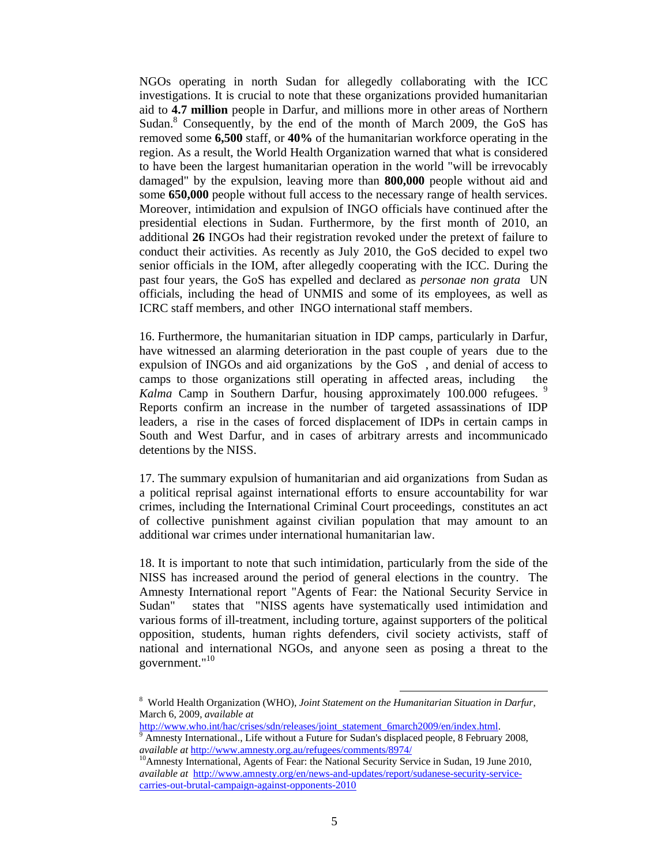NGOs operating in north Sudan for allegedly collaborating with the ICC investigations. It is crucial to note that these organizations provided humanitarian aid to **4.7 million** people in Darfur, and millions more in other areas of Northern Sudan.<sup>8</sup> Consequently, by the end of the month of March 2009, the GoS has removed some **6,500** staff, or **40%** of the humanitarian workforce operating in the region. As a result, the World Health Organization warned that what is considered to have been the largest humanitarian operation in the world "will be irrevocably damaged" by the expulsion, leaving more than **800,000** people without aid and some **650,000** people without full access to the necessary range of health services. Moreover, intimidation and expulsion of INGO officials have continued after the presidential elections in Sudan. Furthermore, by the first month of 2010, an additional **26** INGOs had their registration revoked under the pretext of failure to conduct their activities. As recently as July 2010, the GoS decided to expel two senior officials in the IOM, after allegedly cooperating with the ICC. During the past four years, the GoS has expelled and declared as *personae non grata* UN officials, including the head of UNMIS and some of its employees, as well as ICRC staff members, and other INGO international staff members.

16. Furthermore, the humanitarian situation in IDP camps, particularly in Darfur, have witnessed an alarming deterioration in the past couple of years due to the expulsion of INGOs and aid organizations by the GoS , and denial of access to camps to those organizations still operating in affected areas, including the *Kalma* Camp in Southern Darfur, housing approximately 100.000 refugees.<sup>9</sup> Reports confirm an increase in the number of targeted assassinations of IDP leaders, a rise in the cases of forced displacement of IDPs in certain camps in South and West Darfur, and in cases of arbitrary arrests and incommunicado detentions by the NISS.

17. The summary expulsion of humanitarian and aid organizations from Sudan as a political reprisal against international efforts to ensure accountability for war crimes, including the International Criminal Court proceedings, constitutes an act of collective punishment against civilian population that may amount to an additional war crimes under international humanitarian law.

18. It is important to note that such intimidation, particularly from the side of the NISS has increased around the period of general elections in the country. The Amnesty International report "Agents of Fear: the National Security Service in Sudan" states that "NISS agents have systematically used intimidation and various forms of ill-treatment, including torture, against supporters of the political opposition, students, human rights defenders, civil society activists, staff of national and international NGOs, and anyone seen as posing a threat to the government."<sup>10</sup>

 <sup>8</sup> World Health Organization (WHO), *Joint Statement on the Humanitarian Situation in Darfur*, March 6, 2009, *available at*

http://www.who.int/hac/crises/sdn/releases/joint\_statement\_6march2009/en/index.html.

<sup>&</sup>lt;sup>9</sup> Amnesty International., Life without a Future for Sudan's displaced people, 8 February 2008, *available at* http://www.amnesty.org.au/refugees/comments/8974/ 10Amnesty International, Agents of Fear: the National Security Service in Sudan, 19 June 2010,

*available at* http://www.amnesty.org/en/news-and-updates/report/sudanese-security-servicecarries-out-brutal-campaign-against-opponents-2010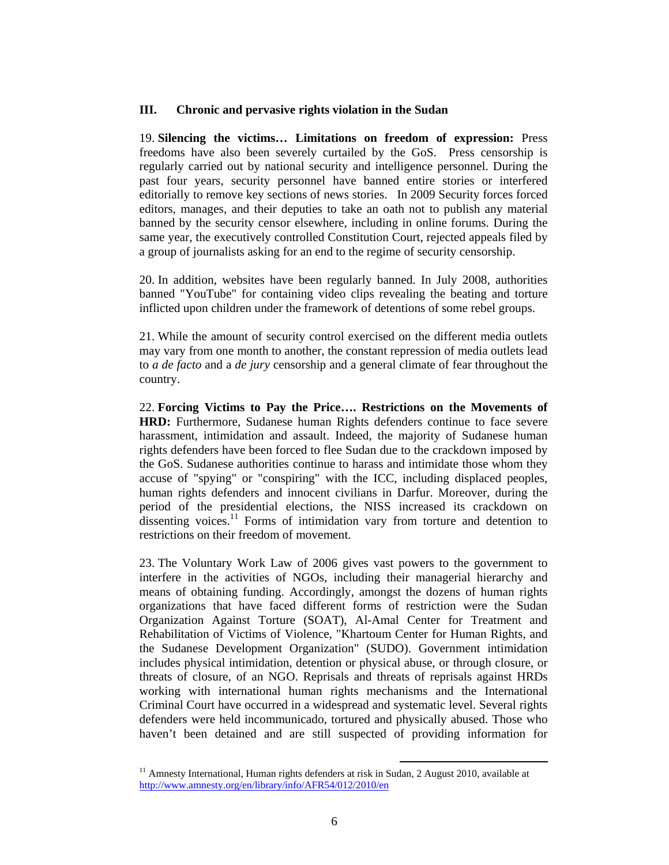### **III. Chronic and pervasive rights violation in the Sudan**

19. **Silencing the victims… Limitations on freedom of expression:** Press freedoms have also been severely curtailed by the GoS. Press censorship is regularly carried out by national security and intelligence personnel. During the past four years, security personnel have banned entire stories or interfered editorially to remove key sections of news stories. In 2009 Security forces forced editors, manages, and their deputies to take an oath not to publish any material banned by the security censor elsewhere, including in online forums. During the same year, the executively controlled Constitution Court, rejected appeals filed by a group of journalists asking for an end to the regime of security censorship.

20. In addition, websites have been regularly banned. In July 2008, authorities banned "YouTube" for containing video clips revealing the beating and torture inflicted upon children under the framework of detentions of some rebel groups.

21. While the amount of security control exercised on the different media outlets may vary from one month to another, the constant repression of media outlets lead to *a de facto* and a *de jury* censorship and a general climate of fear throughout the country.

22. **Forcing Victims to Pay the Price…. Restrictions on the Movements of HRD:** Furthermore, Sudanese human Rights defenders continue to face severe harassment, intimidation and assault. Indeed, the majority of Sudanese human rights defenders have been forced to flee Sudan due to the crackdown imposed by the GoS. Sudanese authorities continue to harass and intimidate those whom they accuse of "spying" or "conspiring" with the ICC, including displaced peoples, human rights defenders and innocent civilians in Darfur. Moreover, during the period of the presidential elections, the NISS increased its crackdown on dissenting voices.<sup>11</sup> Forms of intimidation vary from torture and detention to restrictions on their freedom of movement.

23. The Voluntary Work Law of 2006 gives vast powers to the government to interfere in the activities of NGOs, including their managerial hierarchy and means of obtaining funding. Accordingly, amongst the dozens of human rights organizations that have faced different forms of restriction were the Sudan Organization Against Torture (SOAT), Al-Amal Center for Treatment and Rehabilitation of Victims of Violence, "Khartoum Center for Human Rights, and the Sudanese Development Organization" (SUDO). Government intimidation includes physical intimidation, detention or physical abuse, or through closure, or threats of closure, of an NGO. Reprisals and threats of reprisals against HRDs working with international human rights mechanisms and the International Criminal Court have occurred in a widespread and systematic level. Several rights defenders were held incommunicado, tortured and physically abused. Those who haven't been detained and are still suspected of providing information for

 $11$  Amnesty International, Human rights defenders at risk in Sudan, 2 August 2010, available at http://www.amnesty.org/en/library/info/AFR54/012/2010/en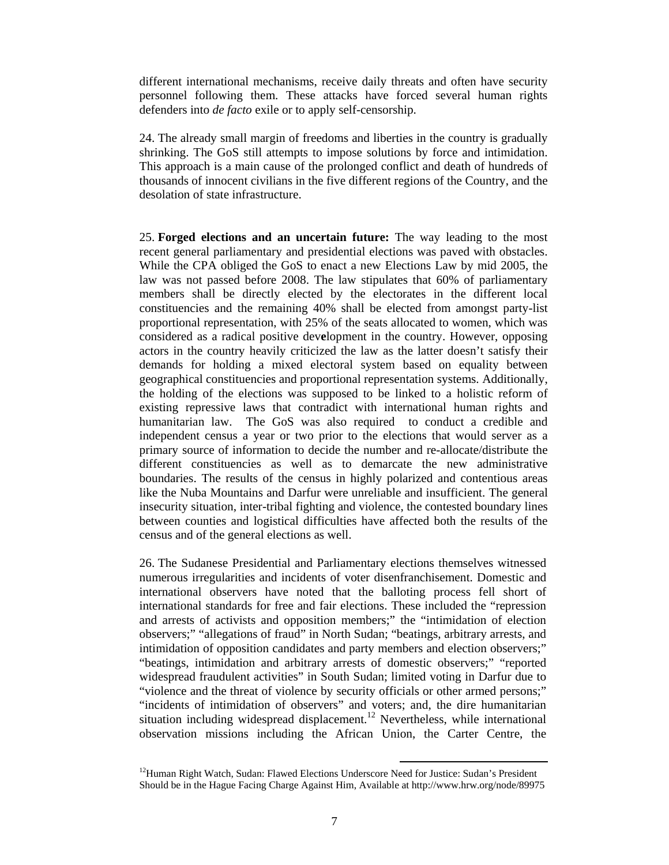different international mechanisms, receive daily threats and often have security personnel following them. These attacks have forced several human rights defenders into *de facto* exile or to apply self-censorship.

24. The already small margin of freedoms and liberties in the country is gradually shrinking. The GoS still attempts to impose solutions by force and intimidation. This approach is a main cause of the prolonged conflict and death of hundreds of thousands of innocent civilians in the five different regions of the Country, and the desolation of state infrastructure.

25. **Forged elections and an uncertain future:** The way leading to the most recent general parliamentary and presidential elections was paved with obstacles. While the CPA obliged the GoS to enact a new Elections Law by mid 2005, the law was not passed before 2008. The law stipulates that 60% of parliamentary members shall be directly elected by the electorates in the different local constituencies and the remaining 40% shall be elected from amongst party-list proportional representation, with 25% of the seats allocated to women, which was considered as a radical positive dev**e**lopment in the country. However, opposing actors in the country heavily criticized the law as the latter doesn't satisfy their demands for holding a mixed electoral system based on equality between geographical constituencies and proportional representation systems. Additionally, the holding of the elections was supposed to be linked to a holistic reform of existing repressive laws that contradict with international human rights and humanitarian law. The GoS was also required to conduct a credible and independent census a year or two prior to the elections that would server as a primary source of information to decide the number and re-allocate/distribute the different constituencies as well as to demarcate the new administrative boundaries. The results of the census in highly polarized and contentious areas like the Nuba Mountains and Darfur were unreliable and insufficient. The general insecurity situation, inter-tribal fighting and violence, the contested boundary lines between counties and logistical difficulties have affected both the results of the census and of the general elections as well.

26. The Sudanese Presidential and Parliamentary elections themselves witnessed numerous irregularities and incidents of voter disenfranchisement. Domestic and international observers have noted that the balloting process fell short of international standards for free and fair elections. These included the "repression and arrests of activists and opposition members;" the "intimidation of election observers;" "allegations of fraud" in North Sudan; "beatings, arbitrary arrests, and intimidation of opposition candidates and party members and election observers;" "beatings, intimidation and arbitrary arrests of domestic observers;" "reported widespread fraudulent activities" in South Sudan; limited voting in Darfur due to "violence and the threat of violence by security officials or other armed persons;" "incidents of intimidation of observers" and voters; and, the dire humanitarian situation including widespread displacement.<sup>12</sup> Nevertheless, while international observation missions including the African Union, the Carter Centre, the

<sup>&</sup>lt;sup>12</sup>Human Right Watch, Sudan: Flawed Elections Underscore Need for Justice: Sudan's President Should be in the Hague Facing Charge Against Him, Available at http://www.hrw.org/node/89975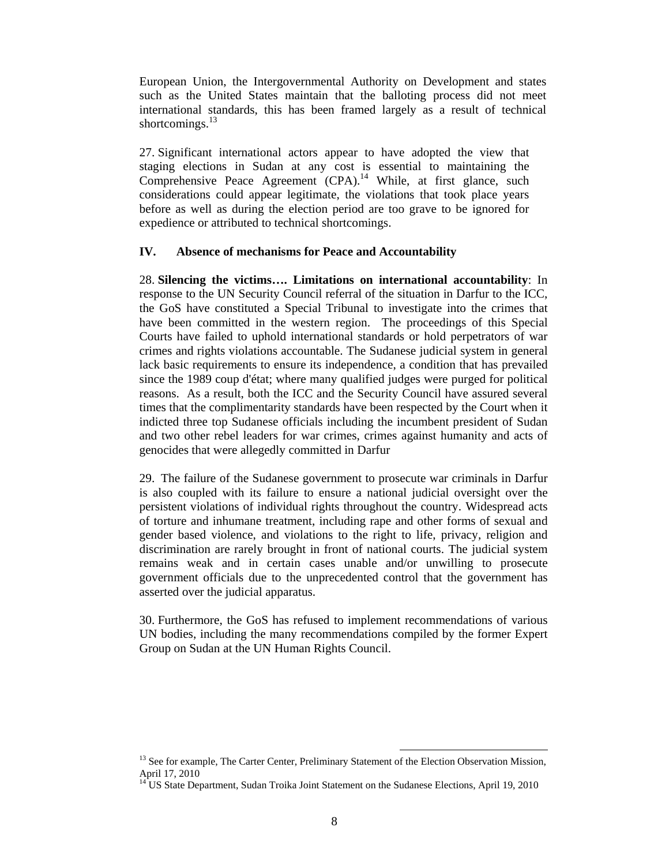European Union, the Intergovernmental Authority on Development and states such as the United States maintain that the balloting process did not meet international standards, this has been framed largely as a result of technical shortcomings.<sup>13</sup>

27. Significant international actors appear to have adopted the view that staging elections in Sudan at any cost is essential to maintaining the Comprehensive Peace Agreement  $(CPA)$ .<sup>14</sup> While, at first glance, such considerations could appear legitimate, the violations that took place years before as well as during the election period are too grave to be ignored for expedience or attributed to technical shortcomings.

#### **IV. Absence of mechanisms for Peace and Accountability**

28. **Silencing the victims…. Limitations on international accountability**: In response to the UN Security Council referral of the situation in Darfur to the ICC, the GoS have constituted a Special Tribunal to investigate into the crimes that have been committed in the western region. The proceedings of this Special Courts have failed to uphold international standards or hold perpetrators of war crimes and rights violations accountable. The Sudanese judicial system in general lack basic requirements to ensure its independence, a condition that has prevailed since the 1989 coup d'état; where many qualified judges were purged for political reasons. As a result, both the ICC and the Security Council have assured several times that the complimentarity standards have been respected by the Court when it indicted three top Sudanese officials including the incumbent president of Sudan and two other rebel leaders for war crimes, crimes against humanity and acts of genocides that were allegedly committed in Darfur

29. The failure of the Sudanese government to prosecute war criminals in Darfur is also coupled with its failure to ensure a national judicial oversight over the persistent violations of individual rights throughout the country. Widespread acts of torture and inhumane treatment, including rape and other forms of sexual and gender based violence, and violations to the right to life, privacy, religion and discrimination are rarely brought in front of national courts. The judicial system remains weak and in certain cases unable and/or unwilling to prosecute government officials due to the unprecedented control that the government has asserted over the judicial apparatus.

30. Furthermore, the GoS has refused to implement recommendations of various UN bodies, including the many recommendations compiled by the former Expert Group on Sudan at the UN Human Rights Council.

<sup>&</sup>lt;sup>13</sup> See for example, The Carter Center, Preliminary Statement of the Election Observation Mission, April 17, 2010

<sup>&</sup>lt;sup>14</sup> US State Department, Sudan Troika Joint Statement on the Sudanese Elections, April 19, 2010